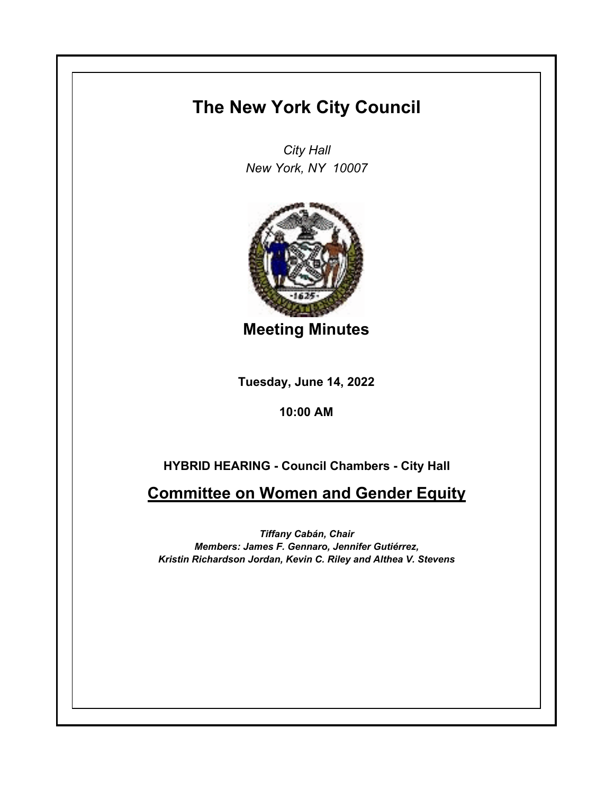## **The New York City Council**

*City Hall New York, NY 10007*



**Meeting Minutes**

**Tuesday, June 14, 2022**

**10:00 AM**

## **HYBRID HEARING - Council Chambers - City Hall**

**Committee on Women and Gender Equity**

*Tiffany Cabán, Chair Members: James F. Gennaro, Jennifer Gutiérrez, Kristin Richardson Jordan, Kevin C. Riley and Althea V. Stevens*